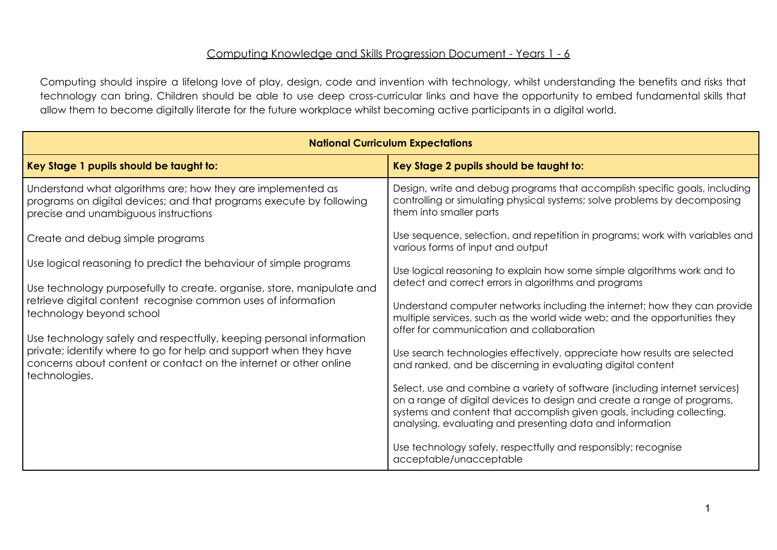## Computing Knowledge and Skills Progression Document - Years 1 - 6

Computing should inspire a lifelong love of play, design, code and invention with technology, whilst understanding the benefits and risks that technology can bring. Children should be able to use deep cross-curricular links and have the opportunity to embed fundamental skills that allow them to become digitally literate for the future workplace whilst becoming active participants in a digital world.

| <b>National Curriculum Expectations</b>                                                                                                                                                                                         |                                                                                                                                                                                                                                                                                               |  |  |  |  |
|---------------------------------------------------------------------------------------------------------------------------------------------------------------------------------------------------------------------------------|-----------------------------------------------------------------------------------------------------------------------------------------------------------------------------------------------------------------------------------------------------------------------------------------------|--|--|--|--|
| Key Stage 1 pupils should be taught to:                                                                                                                                                                                         | Key Stage 2 pupils should be taught to:                                                                                                                                                                                                                                                       |  |  |  |  |
| Understand what algorithms are; how they are implemented as<br>programs on digital devices; and that programs execute by following<br>precise and unambiguous instructions                                                      | Design, write and debug programs that accomplish specific goals, including<br>controlling or simulating physical systems; solve problems by decomposing<br>them into smaller parts                                                                                                            |  |  |  |  |
| Create and debug simple programs                                                                                                                                                                                                | Use sequence, selection, and repetition in programs; work with variables and<br>various forms of input and output                                                                                                                                                                             |  |  |  |  |
| Use logical reasoning to predict the behaviour of simple programs                                                                                                                                                               | Use logical reasoning to explain how some simple algorithms work and to<br>detect and correct errors in algorithms and programs                                                                                                                                                               |  |  |  |  |
| Use technology purposefully to create, organise, store, manipulate and<br>retrieve digital content recognise common uses of information<br>technology beyond school                                                             | Understand computer networks including the internet; how they can provide<br>multiple services, such as the world wide web; and the opportunities they<br>offer for communication and collaboration                                                                                           |  |  |  |  |
| Use technology safely and respectfully, keeping personal information<br>private; identify where to go for help and support when they have<br>concerns about content or contact on the internet or other online<br>technologies. | Use search technologies effectively, appreciate how results are selected<br>and ranked, and be discerning in evaluating digital content                                                                                                                                                       |  |  |  |  |
|                                                                                                                                                                                                                                 | Select, use and combine a variety of software (including internet services)<br>on a range of digital devices to design and create a range of programs,<br>systems and content that accomplish given goals, including collecting,<br>analysing, evaluating and presenting data and information |  |  |  |  |
|                                                                                                                                                                                                                                 | Use technology safely, respectfully and responsibly; recognise<br>acceptable/unacceptable                                                                                                                                                                                                     |  |  |  |  |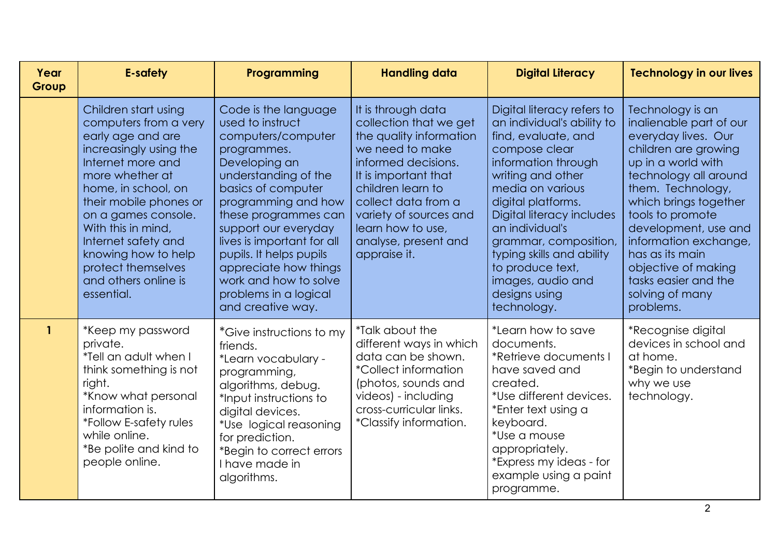| Year<br>Group | <b>E-safety</b>                                                                                                                                                                                                                                                                                                                              | Programming                                                                                                                                                                                                                                                                                                                                                                  | <b>Handling data</b>                                                                                                                                                                                                                                                         | <b>Digital Literacy</b>                                                                                                                                                                                                                                                                                                                                               | <b>Technology in our lives</b>                                                                                                                                                                                                                                                                                                                                 |
|---------------|----------------------------------------------------------------------------------------------------------------------------------------------------------------------------------------------------------------------------------------------------------------------------------------------------------------------------------------------|------------------------------------------------------------------------------------------------------------------------------------------------------------------------------------------------------------------------------------------------------------------------------------------------------------------------------------------------------------------------------|------------------------------------------------------------------------------------------------------------------------------------------------------------------------------------------------------------------------------------------------------------------------------|-----------------------------------------------------------------------------------------------------------------------------------------------------------------------------------------------------------------------------------------------------------------------------------------------------------------------------------------------------------------------|----------------------------------------------------------------------------------------------------------------------------------------------------------------------------------------------------------------------------------------------------------------------------------------------------------------------------------------------------------------|
|               | Children start using<br>computers from a very<br>early age and are<br>increasingly using the<br>Internet more and<br>more whether at<br>home, in school, on<br>their mobile phones or<br>on a games console.<br>With this in mind,<br>Internet safety and<br>knowing how to help<br>protect themselves<br>and others online is<br>essential. | Code is the language<br>used to instruct<br>computers/computer<br>programmes.<br>Developing an<br>understanding of the<br>basics of computer<br>programming and how<br>these programmes can<br>support our everyday<br>lives is important for all<br>pupils. It helps pupils<br>appreciate how things<br>work and how to solve<br>problems in a logical<br>and creative way. | It is through data<br>collection that we get<br>the quality information<br>we need to make<br>informed decisions.<br>It is important that<br>children learn to<br>collect data from a<br>variety of sources and<br>learn how to use,<br>analyse, present and<br>appraise it. | Digital literacy refers to<br>an individual's ability to<br>find, evaluate, and<br>compose clear<br>information through<br>writing and other<br>media on various<br>digital platforms.<br>Digital literacy includes<br>an individual's<br>grammar, composition,<br>typing skills and ability<br>to produce text,<br>images, audio and<br>designs using<br>technology. | Technology is an<br>inalienable part of our<br>everyday lives. Our<br>children are growing<br>up in a world with<br>technology all around<br>them. Technology,<br>which brings together<br>tools to promote<br>development, use and<br>information exchange,<br>has as its main<br>objective of making<br>tasks easier and the<br>solving of many<br>problems. |
| $\mathbf{1}$  | *Keep my password<br>private.<br>*Tell an adult when I<br>think something is not<br>right.<br>*Know what personal<br>information is.<br>*Follow E-safety rules<br>while online.<br>*Be polite and kind to<br>people online.                                                                                                                  | *Give instructions to my<br>friends.<br>*Learn vocabulary -<br>programming,<br>algorithms, debug.<br>*Input instructions to<br>digital devices.<br>*Use logical reasoning<br>for prediction.<br>*Begin to correct errors<br>I have made in<br>algorithms.                                                                                                                    | <i>*Talk about the</i><br>different ways in which<br>data can be shown.<br><i>*Collect information</i><br>(photos, sounds and<br>videos) - including<br>cross-curricular links.<br>*Classify information.                                                                    | *Learn how to save<br>documents.<br>*Retrieve documents I<br>have saved and<br>created.<br>*Use different devices.<br>*Enter text using a<br>keyboard.<br>*Use a mouse<br>appropriately.<br>*Express my ideas - for<br>example using a paint<br>programme.                                                                                                            | *Recognise digital<br>devices in school and<br>at home.<br>*Begin to understand<br>why we use<br>technology.                                                                                                                                                                                                                                                   |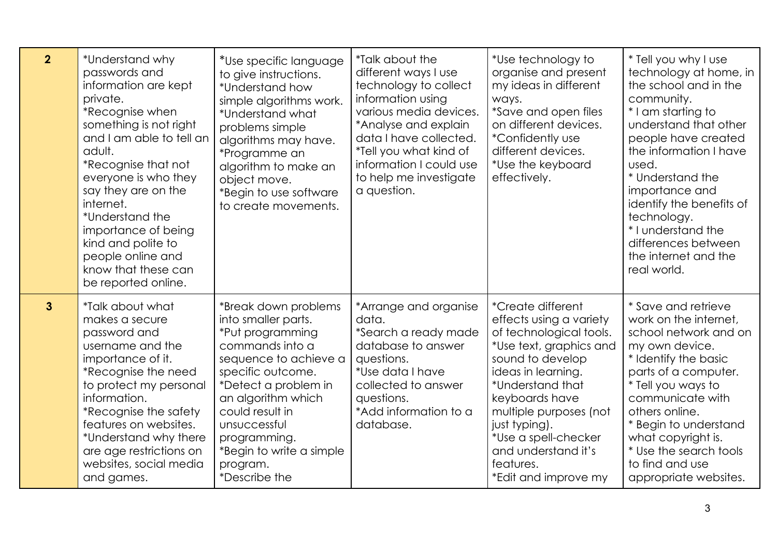| $\overline{2}$ | *Understand why<br>passwords and<br>information are kept<br>private.<br>*Recognise when<br>something is not right<br>and I am able to tell an<br>adult.<br>*Recognise that not<br>everyone is who they<br>say they are on the<br>internet.<br>*Understand the<br>importance of being<br>kind and polite to<br>people online and<br>know that these can<br>be reported online. | *Use specific language<br>to give instructions.<br>*Understand how<br>simple algorithms work.<br>*Understand what<br>problems simple<br>algorithms may have.<br>*Programme an<br>algorithm to make an<br>object move.<br>*Begin to use software<br>to create movements.                    | <i>*Talk about the</i><br>different ways I use<br>technology to collect<br>information using<br>various media devices.<br>*Analyse and explain<br>data I have collected.<br>*Tell you what kind of<br>information I could use<br>to help me investigate<br>a question. | *Use technology to<br>organise and present<br>my ideas in different<br>ways.<br><i>*Save and open files</i><br>on different devices.<br><i>*Confidently use</i><br>different devices.<br>*Use the keyboard<br>effectively.                                                                                               | * Tell you why I use<br>technology at home, in<br>the school and in the<br>community.<br>* I am starting to<br>understand that other<br>people have created<br>the information I have<br>used.<br>* Understand the<br>importance and<br>identify the benefits of<br>technology.<br>* I understand the<br>differences between<br>the internet and the<br>real world. |
|----------------|-------------------------------------------------------------------------------------------------------------------------------------------------------------------------------------------------------------------------------------------------------------------------------------------------------------------------------------------------------------------------------|--------------------------------------------------------------------------------------------------------------------------------------------------------------------------------------------------------------------------------------------------------------------------------------------|------------------------------------------------------------------------------------------------------------------------------------------------------------------------------------------------------------------------------------------------------------------------|--------------------------------------------------------------------------------------------------------------------------------------------------------------------------------------------------------------------------------------------------------------------------------------------------------------------------|---------------------------------------------------------------------------------------------------------------------------------------------------------------------------------------------------------------------------------------------------------------------------------------------------------------------------------------------------------------------|
| $\mathbf{3}$   | *Talk about what<br>makes a secure<br>password and<br>username and the<br>importance of it.<br>*Recognise the need<br>to protect my personal<br>information.<br>*Recognise the safety<br>features on websites.<br>*Understand why there<br>are age restrictions on<br>websites, social media<br>and games.                                                                    | *Break down problems<br>into smaller parts.<br>*Put programming<br>commands into a<br>sequence to achieve a<br>specific outcome.<br>*Detect a problem in<br>an algorithm which<br>could result in<br>unsuccessful<br>programming.<br>*Begin to write a simple<br>program.<br>*Describe the | *Arrange and organise<br>data.<br>*Search a ready made<br>database to answer<br>questions.<br>*Use data I have<br>collected to answer<br>questions.<br>*Add information to a<br>database.                                                                              | <i>*Create different</i><br>effects using a variety<br>of technological tools.<br>*Use text, graphics and<br>sound to develop<br>ideas in learning.<br>*Understand that<br>keyboards have<br>multiple purposes (not<br>just typing).<br>*Use a spell-checker<br>and understand it's<br>features.<br>*Edit and improve my | * Save and retrieve<br>work on the internet,<br>school network and on<br>my own device.<br>* Identify the basic<br>parts of a computer.<br>* Tell you ways to<br>communicate with<br>others online.<br>* Begin to understand<br>what copyright is.<br>* Use the search tools<br>to find and use<br>appropriate websites.                                            |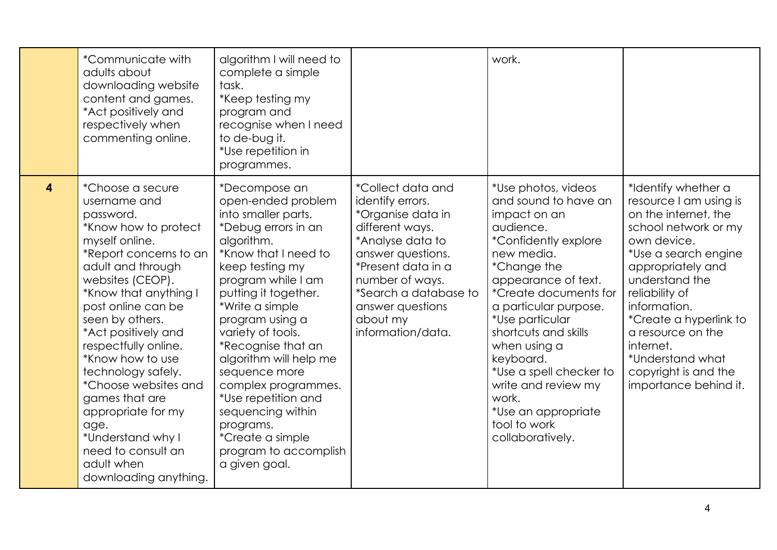|   | *Communicate with<br>adults about<br>downloading website<br>content and games.<br>*Act positively and<br>respectively when<br>commenting online.                                                                                                                                                                                                                                                                                                                                | algorithm I will need to<br>complete a simple<br>task.<br>*Keep testing my<br>program and<br>recognise when I need<br>to de-bug it.<br>*Use repetition in<br>programmes.                                                                                                                                                                                                                                                                                           |                                                                                                                                                                                                                                                      | work.                                                                                                                                                                                                                                                                                                                                                                                                               |                                                                                                                                                                                                                                                                                                                                                |
|---|---------------------------------------------------------------------------------------------------------------------------------------------------------------------------------------------------------------------------------------------------------------------------------------------------------------------------------------------------------------------------------------------------------------------------------------------------------------------------------|--------------------------------------------------------------------------------------------------------------------------------------------------------------------------------------------------------------------------------------------------------------------------------------------------------------------------------------------------------------------------------------------------------------------------------------------------------------------|------------------------------------------------------------------------------------------------------------------------------------------------------------------------------------------------------------------------------------------------------|---------------------------------------------------------------------------------------------------------------------------------------------------------------------------------------------------------------------------------------------------------------------------------------------------------------------------------------------------------------------------------------------------------------------|------------------------------------------------------------------------------------------------------------------------------------------------------------------------------------------------------------------------------------------------------------------------------------------------------------------------------------------------|
| 4 | *Choose a secure<br>username and<br>password.<br>*Know how to protect<br>myself online.<br>*Report concerns to an<br>adult and through<br>websites (CEOP).<br>*Know that anything I<br>post online can be<br>seen by others.<br>*Act positively and<br>respectfully online.<br>*Know how to use<br>technology safely.<br>*Choose websites and<br>games that are<br>appropriate for my<br>age.<br>*Understand why I<br>need to consult an<br>adult when<br>downloading anything. | *Decompose an<br>open-ended problem<br>into smaller parts.<br>*Debug errors in an<br>algorithm.<br>*Know that I need to<br>keep testing my<br>program while I am<br>putting it together.<br>*Write a simple<br>program using a<br>variety of tools.<br>*Recognise that an<br>algorithm will help me<br>sequence more<br>complex programmes.<br>*Use repetition and<br>sequencing within<br>programs.<br>*Create a simple<br>program to accomplish<br>a given goal. | <i>*Collect data and</i><br>identify errors.<br>*Organise data in<br>different ways.<br>*Analyse data to<br>answer questions.<br>*Present data in a<br>number of ways.<br>*Search a database to<br>answer questions<br>about my<br>information/data. | *Use photos, videos<br>and sound to have an<br>impact on an<br>audience.<br><i>*Confidently explore</i><br>new media.<br>*Change the<br>appearance of text.<br>*Create documents for<br>a particular purpose.<br><i>*</i> Use particular<br>shortcuts and skills<br>when using a<br>keyboard.<br>*Use a spell checker to<br>write and review my<br>work.<br>*Use an appropriate<br>tool to work<br>collaboratively. | *Identify whether a<br>resource I am using is<br>on the internet, the<br>school network or my<br>own device.<br>*Use a search engine<br>appropriately and<br>understand the<br>reliability of<br>information.<br>*Create a hyperlink to<br>a resource on the<br>internet.<br>*Understand what<br>copyright is and the<br>importance behind it. |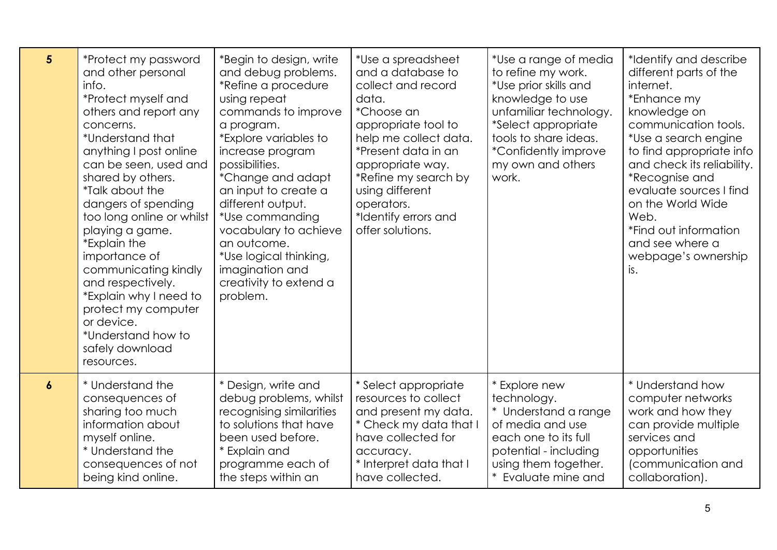| $5\phantom{.0}$  | *Protect my password<br>and other personal<br>info.<br>*Protect myself and<br>others and report any<br>concerns.<br>*Understand that<br>anything I post online<br>can be seen, used and<br>shared by others.<br><i>*Talk about the</i><br>dangers of spending<br>too long online or whilst<br>playing a game.<br><i>*Explain</i> the<br>importance of<br>communicating kindly<br>and respectively.<br>*Explain why I need to<br>protect my computer<br>or device.<br>*Understand how to<br>safely download<br>resources. | *Begin to design, write<br>and debug problems.<br>*Refine a procedure<br>using repeat<br>commands to improve<br>a program.<br>*Explore variables to<br>increase program<br>possibilities.<br>*Change and adapt<br>an input to create a<br>different output.<br>*Use commanding<br>vocabulary to achieve<br>an outcome.<br>*Use logical thinking,<br>imagination and<br>creativity to extend a<br>problem. | *Use a spreadsheet<br>and a database to<br>collect and record<br>data.<br>*Choose an<br>appropriate tool to<br>help me collect data.<br>*Present data in an<br>appropriate way.<br>*Refine my search by<br>using different<br>operators.<br>*Identify errors and<br>offer solutions. | *Use a range of media<br>to refine my work.<br>*Use prior skills and<br>knowledge to use<br>unfamiliar technology.<br>*Select appropriate<br>tools to share ideas.<br>*Confidently improve<br>my own and others<br>work. | *Identify and describe<br>different parts of the<br>internet.<br>*Enhance my<br>knowledge on<br>communication tools.<br>*Use a search engine<br>to find appropriate info<br>and check its reliability.<br>*Recognise and<br>evaluate sources I find<br>on the World Wide<br>Web.<br>*Find out information<br>and see where a<br>webpage's ownership<br>is. |
|------------------|--------------------------------------------------------------------------------------------------------------------------------------------------------------------------------------------------------------------------------------------------------------------------------------------------------------------------------------------------------------------------------------------------------------------------------------------------------------------------------------------------------------------------|-----------------------------------------------------------------------------------------------------------------------------------------------------------------------------------------------------------------------------------------------------------------------------------------------------------------------------------------------------------------------------------------------------------|--------------------------------------------------------------------------------------------------------------------------------------------------------------------------------------------------------------------------------------------------------------------------------------|--------------------------------------------------------------------------------------------------------------------------------------------------------------------------------------------------------------------------|------------------------------------------------------------------------------------------------------------------------------------------------------------------------------------------------------------------------------------------------------------------------------------------------------------------------------------------------------------|
| $\boldsymbol{6}$ | * Understand the                                                                                                                                                                                                                                                                                                                                                                                                                                                                                                         | * Design, write and                                                                                                                                                                                                                                                                                                                                                                                       | * Select appropriate                                                                                                                                                                                                                                                                 | * Explore new                                                                                                                                                                                                            | * Understand how                                                                                                                                                                                                                                                                                                                                           |
|                  | consequences of                                                                                                                                                                                                                                                                                                                                                                                                                                                                                                          | debug problems, whilst                                                                                                                                                                                                                                                                                                                                                                                    | resources to collect                                                                                                                                                                                                                                                                 | technology.                                                                                                                                                                                                              | computer networks                                                                                                                                                                                                                                                                                                                                          |
|                  | sharing too much                                                                                                                                                                                                                                                                                                                                                                                                                                                                                                         | recognising similarities                                                                                                                                                                                                                                                                                                                                                                                  | and present my data.                                                                                                                                                                                                                                                                 | Understand a range                                                                                                                                                                                                       | work and how they                                                                                                                                                                                                                                                                                                                                          |
|                  | information about                                                                                                                                                                                                                                                                                                                                                                                                                                                                                                        | to solutions that have                                                                                                                                                                                                                                                                                                                                                                                    | * Check my data that I                                                                                                                                                                                                                                                               | of media and use                                                                                                                                                                                                         | can provide multiple                                                                                                                                                                                                                                                                                                                                       |
|                  | myself online.                                                                                                                                                                                                                                                                                                                                                                                                                                                                                                           | been used before.                                                                                                                                                                                                                                                                                                                                                                                         | have collected for                                                                                                                                                                                                                                                                   | each one to its full                                                                                                                                                                                                     | services and                                                                                                                                                                                                                                                                                                                                               |
|                  | * Understand the                                                                                                                                                                                                                                                                                                                                                                                                                                                                                                         | * Explain and                                                                                                                                                                                                                                                                                                                                                                                             | accuracy.                                                                                                                                                                                                                                                                            | potential - including                                                                                                                                                                                                    | opportunities                                                                                                                                                                                                                                                                                                                                              |
|                  | consequences of not                                                                                                                                                                                                                                                                                                                                                                                                                                                                                                      | programme each of                                                                                                                                                                                                                                                                                                                                                                                         | * Interpret data that I                                                                                                                                                                                                                                                              | using them together.                                                                                                                                                                                                     | (communication and                                                                                                                                                                                                                                                                                                                                         |
|                  | being kind online.                                                                                                                                                                                                                                                                                                                                                                                                                                                                                                       | the steps within an                                                                                                                                                                                                                                                                                                                                                                                       | have collected.                                                                                                                                                                                                                                                                      | Evaluate mine and                                                                                                                                                                                                        | collaboration).                                                                                                                                                                                                                                                                                                                                            |